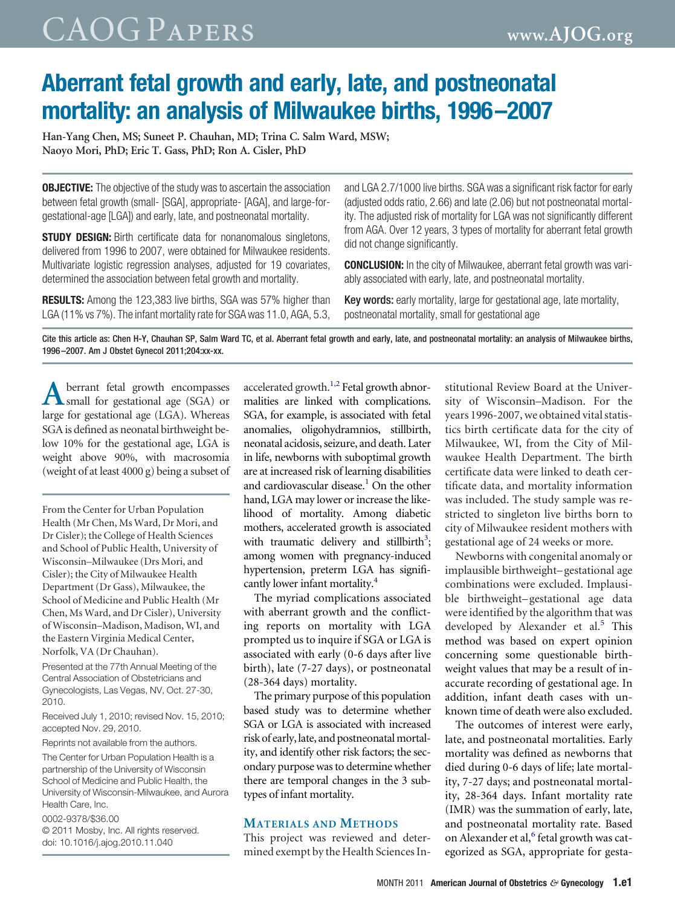### CAOG Papers **www.AJOG.org**

### **Aberrant fetal growth and early, late, and postneonatal mortality: an analysis of Milwaukee births, 1996 –2007**

**Han-Yang Chen, MS; Suneet P. Chauhan, MD; Trina C. Salm Ward, MSW; Naoyo Mori, PhD; Eric T. Gass, PhD; Ron A. Cisler, PhD**

**OBJECTIVE:** The objective of the study was to ascertain the association between fetal growth (small- [SGA], appropriate- [AGA], and large-forgestational-age [LGA]) and early, late, and postneonatal mortality.

**STUDY DESIGN:** Birth certificate data for nonanomalous singletons, delivered from 1996 to 2007, were obtained for Milwaukee residents. Multivariate logistic regression analyses, adjusted for 19 covariates, determined the association between fetal growth and mortality.

**RESULTS:** Among the 123,383 live births, SGA was 57% higher than LGA (11% vs 7%). The infant mortality rate for SGA was 11.0, AGA, 5.3, and LGA 2.7/1000 live births. SGA was a significant risk factor for early (adjusted odds ratio, 2.66) and late (2.06) but not postneonatal mortality. The adjusted risk of mortality for LGA was not significantly different from AGA. Over 12 years, 3 types of mortality for aberrant fetal growth did not change significantly.

**CONCLUSION:** In the city of Milwaukee, aberrant fetal growth was variably associated with early, late, and postneonatal mortality.

Key words: early mortality, large for gestational age, late mortality, postneonatal mortality, small for gestational age

Cite this article as: Chen H-Y, Chauhan SP, Salm Ward TC, et al. Aberrant fetal growth and early, late, and postneonatal mortality: an analysis of Milwaukee births, 1996 –2007. Am J Obstet Gynecol 2011;204:xx-xx.

**A** berrant fetal growth encompasses<br>
small for gestational age (SGA) or large for gestational age (LGA). Whereas SGA is defined as neonatal birthweight below 10% for the gestational age, LGA is weight above 90%, with macrosomia (weight of at least 4000 g) being a subset of

From the Center for Urban Population Health (Mr Chen, Ms Ward, Dr Mori, and Dr Cisler); the College of Health Sciences and School of Public Health, University of Wisconsin–Milwaukee (Drs Mori, and Cisler); the City of Milwaukee Health Department (Dr Gass), Milwaukee, the School of Medicine and Public Health (Mr Chen, Ms Ward, and Dr Cisler), University of Wisconsin–Madison, Madison, WI, and the Eastern Virginia Medical Center, Norfolk, VA (Dr Chauhan).

Presented at the 77th Annual Meeting of the Central Association of Obstetricians and Gynecologists, Las Vegas, NV, Oct. 27-30, 2010.

Received July 1, 2010; revised Nov. 15, 2010; accepted Nov. 29, 2010.

Reprints not available from the authors.

The Center for Urban Population Health is a partnership of the University of Wisconsin School of Medicine and Public Health, the University of Wisconsin-Milwaukee, and Aurora Health Care, Inc.

0002-9378/\$36.00

© 2011 Mosby, Inc. All rights reserved. doi: 10.1016/j.ajog.2010.11.040

accelerated growth. $1,2$  Fetal growth abnormalities are linked with complications. SGA, for example, is associated with fetal anomalies, oligohydramnios, stillbirth, neonatal acidosis, seizure, and death. Later in life, newborns with suboptimal growth are at increased risk of learning disabilities and cardiovascular disease.<sup>1</sup> On the other hand, LGA may lower or increase the likelihood of mortality. Among diabetic mothers, accelerated growth is associated with traumatic delivery and stillbirth<sup>3</sup>; among women with pregnancy-induced hypertension, preterm LGA has significantly lower infant mortality.<sup>4</sup>

The myriad complications associated with aberrant growth and the conflicting reports on mortality with LGA prompted us to inquire if SGA or LGA is associated with early (0-6 days after live birth), late (7-27 days), or postneonatal (28-364 days) mortality.

The primary purpose of this population based study was to determine whether SGA or LGA is associated with increased risk of early, late, and postneonatal mortality, and identify other risk factors; the secondary purpose was to determine whether there are temporal changes in the 3 subtypes of infant mortality.

### **MATERIALS AND METHODS**

This project was reviewed and determined exempt by the Health Sciences In-

stitutional Review Board at the University of Wisconsin–Madison. For the years 1996-2007, we obtained vital statistics birth certificate data for the city of Milwaukee, WI, from the City of Milwaukee Health Department. The birth certificate data were linked to death certificate data, and mortality information was included. The study sample was restricted to singleton live births born to city of Milwaukee resident mothers with gestational age of 24 weeks or more.

Newborns with congenital anomaly or implausible birthweight– gestational age combinations were excluded. Implausible birthweight– gestational age data were identified by the algorithm that was developed by Alexander et al.<sup>[5](#page-8-0)</sup> This method was based on expert opinion concerning some questionable birthweight values that may be a result of inaccurate recording of gestational age. In addition, infant death cases with unknown time of death were also excluded.

The outcomes of interest were early, late, and postneonatal mortalities. Early mortality was defined as newborns that died during 0-6 days of life; late mortality, 7-27 days; and postneonatal mortality, 28-364 days. Infant mortality rate (IMR) was the summation of early, late, and postneonatal mortality rate. Based on Alexander et al,<sup>[6](#page-8-0)</sup> fetal growth was categorized as SGA, appropriate for gesta-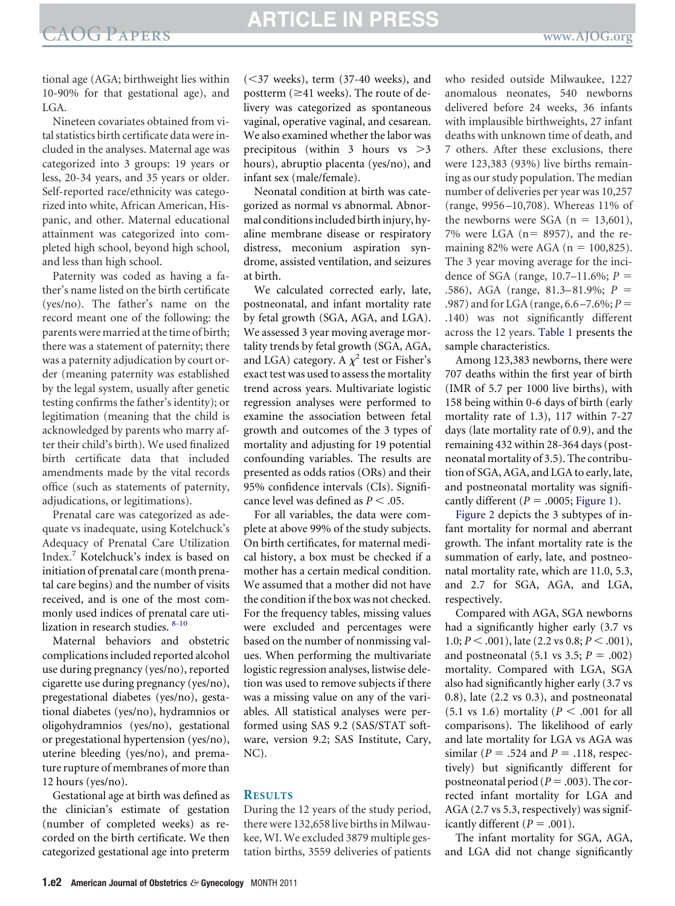### EXAOG PAPERS **ARTICLE IN PRESS**

tional age (AGA; birthweight lies within 10-90% for that gestational age), and LGA.

Nineteen covariates obtained from vital statistics birth certificate data were included in the analyses. Maternal age was categorized into 3 groups: 19 years or less, 20-34 years, and 35 years or older. Self-reported race/ethnicity was categorized into white, African American, Hispanic, and other. Maternal educational attainment was categorized into completed high school, beyond high school, and less than high school.

Paternity was coded as having a father's name listed on the birth certificate (yes/no). The father's name on the record meant one of the following: the parents were married at the time of birth; there was a statement of paternity; there was a paternity adjudication by court order (meaning paternity was established by the legal system, usually after genetic testing confirms the father's identity); or legitimation (meaning that the child is acknowledged by parents who marry after their child's birth). We used finalized birth certificate data that included amendments made by the vital records office (such as statements of paternity, adjudications, or legitimations).

Prenatal care was categorized as adequate vs inadequate, using Kotelchuck's Adequacy of Prenatal Care Utilization Index.[7](#page-8-0) Kotelchuck's index is based on initiation of prenatal care (month prenatal care begins) and the number of visits received, and is one of the most commonly used indices of prenatal care utilization in research studies. [8-10](#page-8-0)

Maternal behaviors and obstetric complications included reported alcohol use during pregnancy (yes/no), reported cigarette use during pregnancy (yes/no), pregestational diabetes (yes/no), gestational diabetes (yes/no), hydramnios or oligohydramnios (yes/no), gestational or pregestational hypertension (yes/no), uterine bleeding (yes/no), and premature rupture of membranes of more than 12 hours (yes/no).

Gestational age at birth was defined as the clinician's estimate of gestation (number of completed weeks) as recorded on the birth certificate. We then categorized gestational age into preterm

 $(<$ 37 weeks), term  $(37-40$  weeks), and postterm ( $\geq$ 41 weeks). The route of delivery was categorized as spontaneous vaginal, operative vaginal, and cesarean. We also examined whether the labor was precipitous (within  $3$  hours vs  $>3$ hours), abruptio placenta (yes/no), and infant sex (male/female).

Neonatal condition at birth was categorized as normal vs abnormal. Abnormal conditions included birth injury, hyaline membrane disease or respiratory distress, meconium aspiration syndrome, assisted ventilation, and seizures at birth.

We calculated corrected early, late, postneonatal, and infant mortality rate by fetal growth (SGA, AGA, and LGA). We assessed 3 year moving average mortality trends by fetal growth (SGA, AGA, and LGA) category. A  $\chi^2$  test or Fisher's exact test was used to assess the mortality trend across years. Multivariate logistic regression analyses were performed to examine the association between fetal growth and outcomes of the 3 types of mortality and adjusting for 19 potential confounding variables. The results are presented as odds ratios (ORs) and their 95% confidence intervals (CIs). Significance level was defined as  $P < .05$ .

For all variables, the data were complete at above 99% of the study subjects. On birth certificates, for maternal medical history, a box must be checked if a mother has a certain medical condition. We assumed that a mother did not have the condition if the box was not checked. For the frequency tables, missing values were excluded and percentages were based on the number of nonmissing values. When performing the multivariate logistic regression analyses, listwise deletion was used to remove subjects if there was a missing value on any of the variables. All statistical analyses were performed using SAS 9.2 (SAS/STAT software, version 9.2; SAS Institute, Cary, NC).

### **RESULTS**

During the 12 years of the study period, there were 132,658 live births in Milwaukee, WI. We excluded 3879 multiple gestation births, 3559 deliveries of patients who resided outside Milwaukee, 1227 anomalous neonates, 540 newborns delivered before 24 weeks, 36 infants with implausible birthweights, 27 infant deaths with unknown time of death, and 7 others. After these exclusions, there were 123,383 (93%) live births remaining as our study population. The median number of deliveries per year was 10,257 (range, 9956 –10,708). Whereas 11% of the newborns were SGA  $(n = 13,601)$ , 7% were LGA ( $n = 8957$ ), and the remaining 82% were AGA ( $n = 100,825$ ). The 3 year moving average for the incidence of SGA (range, 10.7–11.6%; *P* .586), AGA (range, 81.3–81.9%; *P* .987) and for LGA (range, 6.6 –7.6%; *P* .140) was not significantly different across the 12 years. Table 1 presents the sample characteristics.

Among 123,383 newborns, there were 707 deaths within the first year of birth (IMR of 5.7 per 1000 live births), with 158 being within 0-6 days of birth (early mortality rate of 1.3), 117 within 7-27 days (late mortality rate of 0.9), and the remaining 432 within 28-364 days (postneonatal mortality of 3.5). The contribution of SGA, AGA, and LGA to early, late, and postneonatal mortality was significantly different ( $P = .0005$ ; [Figure 1\)](#page-4-0).

[Figure 2](#page-5-0) depicts the 3 subtypes of infant mortality for normal and aberrant growth. The infant mortality rate is the summation of early, late, and postneonatal mortality rate, which are 11.0, 5.3, and 2.7 for SGA, AGA, and LGA, respectively.

Compared with AGA, SGA newborns had a significantly higher early (3.7 vs 1.0; *P* < .001), late (2.2 vs 0.8; *P* < .001), and postneonatal  $(5.1 \text{ vs } 3.5; P = .002)$ mortality. Compared with LGA, SGA also had significantly higher early (3.7 vs 0.8), late (2.2 vs 0.3), and postneonatal  $(5.1 \text{ vs } 1.6)$  mortality  $(P < .001$  for all comparisons). The likelihood of early and late mortality for LGA vs AGA was similar ( $P = .524$  and  $P = .118$ , respectively) but significantly different for postneonatal period ( $P = .003$ ). The corrected infant mortality for LGA and AGA (2.7 vs 5.3, respectively) was significantly different  $(P = .001)$ .

The infant mortality for SGA, AGA, and LGA did not change significantly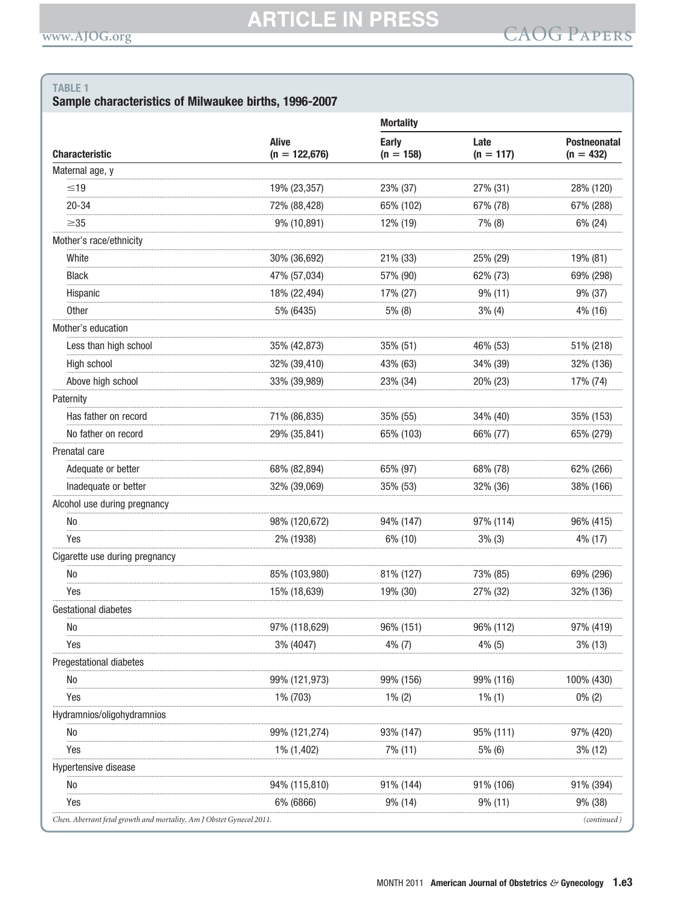### Sample characteristics of Milwaukee births, 1996-2007

| <b>Alive</b>    |                                                                      |                     |                                    |
|-----------------|----------------------------------------------------------------------|---------------------|------------------------------------|
| $(n = 122,676)$ | Early<br>$(n = 158)$                                                 | Late<br>$(n = 117)$ | <b>Postneonatal</b><br>$(n = 432)$ |
|                 |                                                                      |                     |                                    |
| 19% (23,357)    | 23% (37)                                                             | 27% (31)            | 28% (120)                          |
| 72% (88,428)    | 65% (102)                                                            | 67% (78)            | 67% (288)                          |
| 9% (10,891)     | 12% (19)                                                             | $7\%$ (8)           | 6% (24)                            |
|                 |                                                                      |                     |                                    |
| 30% (36,692)    | 21% (33)                                                             | 25% (29)            | 19% (81)                           |
| 47% (57,034)    | 57% (90)                                                             | 62% (73)            | 69% (298)                          |
| 18% (22,494)    | 17% (27)                                                             | $9\%$ (11)          | 9% (37)                            |
| 5% (6435)       | $5\%$ (8)                                                            | $3\%$ (4)           | 4% (16)                            |
|                 |                                                                      |                     |                                    |
| 35% (42,873)    | 35% (51)                                                             | 46% (53)            | 51% (218)                          |
| 32% (39,410)    | 43% (63)                                                             | 34% (39)            | 32% (136)                          |
| 33% (39,989)    | 23% (34)                                                             | 20% (23)            | 17% (74)                           |
|                 |                                                                      |                     |                                    |
| 71% (86,835)    | 35% (55)                                                             | 34% (40)            | 35% (153)                          |
| 29% (35,841)    | 65% (103)                                                            | 66% (77)            | 65% (279)                          |
|                 |                                                                      |                     |                                    |
| 68% (82,894)    | 65% (97)                                                             | 68% (78)            | 62% (266)                          |
| 32% (39,069)    | 35% (53)                                                             | 32% (36)            | 38% (166)                          |
|                 |                                                                      |                     |                                    |
| 98% (120,672)   | 94% (147)                                                            | 97% (114)           | 96% (415)                          |
| 2% (1938)       | 6% (10)                                                              | $3\%$ (3)           | 4% (17)                            |
|                 |                                                                      |                     |                                    |
| 85% (103,980)   | 81% (127)                                                            | 73% (85)            | 69% (296)                          |
| 15% (18,639)    | 19% (30)                                                             | 27% (32)            | 32% (136)                          |
|                 |                                                                      |                     |                                    |
| 97% (118,629)   | 96% (151)                                                            | 96% (112)           | 97% (419)                          |
| 3% (4047)       | $4\%$ (7)                                                            | 4% (5)              | 3% (13)                            |
|                 |                                                                      |                     |                                    |
| 99% (121,973)   | 99% (156)                                                            | 99% (116)           | 100% (430)                         |
| 1% (703)        | $1\%$ (2)                                                            | $1\%$ (1)           | $0\%$ (2)                          |
|                 |                                                                      |                     |                                    |
| 99% (121,274)   | 93% (147)                                                            | 95% (111)           | 97% (420)                          |
| 1% (1,402)      | 7% (11)                                                              | 5% (6)              | $3\%$ (12)                         |
|                 |                                                                      |                     |                                    |
| 94% (115,810)   | 91% (144)                                                            | 91% (106)           | 91% (394)                          |
| 6% (6866)       | 9% (14)                                                              | $9\%$ (11)          | 9% (38)                            |
|                 | Chen. Aberrant fetal growth and mortality. Am J Obstet Gynecol 2011. |                     |                                    |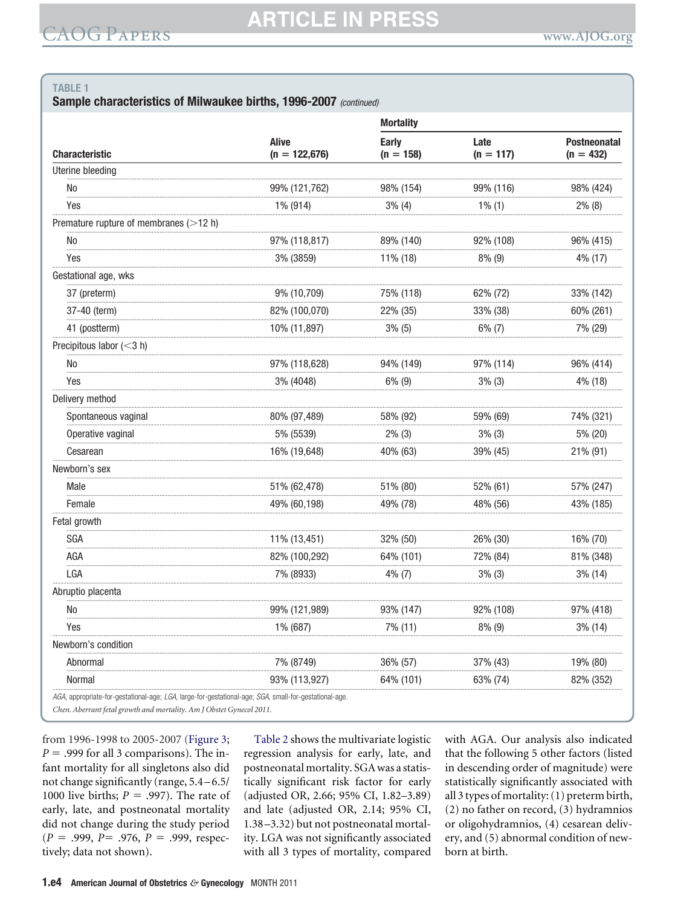Sample characteristics of Milwaukee births, 1996-2007 (continued)

|                                          |                                 | <b>Mortality</b>     |                     |                                    |  |
|------------------------------------------|---------------------------------|----------------------|---------------------|------------------------------------|--|
| <b>Characteristic</b>                    | <b>Alive</b><br>$(n = 122,676)$ | Early<br>$(n = 158)$ | Late<br>$(n = 117)$ | <b>Postneonatal</b><br>$(n = 432)$ |  |
| Uterine bleeding                         |                                 |                      |                     |                                    |  |
| <b>No</b>                                | 99% (121,762)                   | 98% (154)            | 99% (116)           | 98% (424)                          |  |
| Yes                                      | 1% (914)                        | 3% (4)               | $1\%$ (1)           | $2\%$ (8)                          |  |
| Premature rupture of membranes $(>12 h)$ |                                 |                      |                     |                                    |  |
| No                                       | 97% (118,817)                   | 89% (140)            | 92% (108)           | 96% (415)                          |  |
| Yes                                      | 3% (3859)                       | 11% (18)             | $8\%$ (9)           | 4% (17)                            |  |
| Gestational age, wks                     |                                 |                      |                     |                                    |  |
| 37 (preterm)                             | 9% (10,709)                     | 75% (118)            | 62% (72)            | 33% (142)                          |  |
| 37-40 (term)                             | 82% (100,070)                   | 22% (35)             | 33% (38)            | 60% (261)                          |  |
| 41 (postterm)                            | 10% (11,897)                    | $3\%$ (5)            | $6\%$ (7)           | 7% (29)                            |  |
| Precipitous labor (<3 h)                 |                                 |                      |                     |                                    |  |
| <b>No</b>                                | 97% (118,628)                   | 94% (149)            | 97% (114)           | 96% (414)                          |  |
| Yes                                      | 3% (4048)                       | $6\%$ (9)            | 3% (3)              | 4% (18)                            |  |
| Delivery method                          |                                 |                      |                     |                                    |  |
| Spontaneous vaginal                      | 80% (97,489)                    | 58% (92)             | 59% (69)            | 74% (321)                          |  |
| Operative vaginal                        | 5% (5539)                       | $2\%$ (3)            | 3% (3)              | 5% (20)                            |  |
| Cesarean                                 | 16% (19,648)                    | 40% (63)             | 39% (45)            | 21% (91)                           |  |
| Newborn's sex                            |                                 |                      |                     |                                    |  |
| Male                                     | 51% (62,478)                    | 51% (80)             | 52% (61)            | 57% (247)                          |  |
| Female                                   | 49% (60,198)                    | 49% (78)             | 48% (56)            | 43% (185)                          |  |
| Fetal growth                             |                                 |                      |                     |                                    |  |
| <b>SGA</b>                               | 11% (13,451)                    | 32% (50)             | 26% (30)            | 16% (70)                           |  |
| AGA                                      | 82% (100,292)                   | 64% (101)            | 72% (84)            | 81% (348)                          |  |
| LGA                                      | 7% (8933)                       | $4\%$ (7)            | $3\%$ (3)           | $3\%$ (14)                         |  |
| Abruptio placenta                        |                                 |                      |                     |                                    |  |
| <b>No</b>                                | 99% (121,989)                   | 93% (147)            | 92% (108)           | 97% (418)                          |  |
| Yes                                      | 1% (687)                        | 7% (11)              | $8\%$ (9)           | 3% (14)                            |  |
| Newborn's condition                      |                                 |                      |                     |                                    |  |
| Abnormal                                 | 7% (8749)                       | 36% (57)             | 37% (43)            | 19% (80)                           |  |
| Normal                                   | 93% (113,927)                   | 64% (101)            | 63% (74)            | 82% (352)                          |  |

Chen. Aberrant fetal growth and mortality. Am J Obstet Gynecol 2011.

from 1996-1998 to 2005-2007 (Figure 3;  $P = .999$  for all 3 comparisons). The infant mortality for all singletons also did not change significantly (range, 5.4-6.5/ 1000 live births;  $P = .997$ ). The rate of early, late, and postneonatal mortality did not change during the study period  $(P = .999, P = .976, P = .999, \text{ respec-}$ tively; data not shown).

Table 2 shows the multivariate logistic regression analysis for early, late, and postneonatal mortality. SGA was a statistically significant risk factor for early (adjusted OR, 2.66; 95% CI, 1.82-3.89) and late (adjusted OR, 2.14; 95% CI, 1.38-3.32) but not postneonatal mortality. LGA was not significantly associated with all 3 types of mortality, compared

with AGA. Our analysis also indicated that the following 5 other factors (listed in descending order of magnitude) were statistically significantly associated with all 3 types of mortality: (1) preterm birth, (2) no father on record, (3) hydramnios or oligohydramnios, (4) cesarean delivery, and (5) abnormal condition of newborn at birth.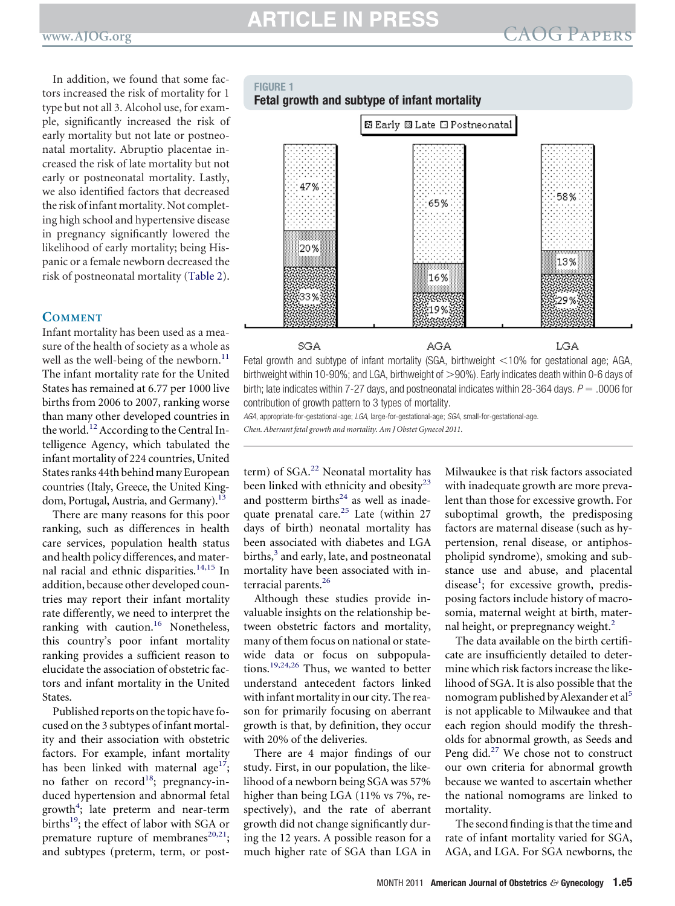<span id="page-4-0"></span>In addition, we found that some factors increased the risk of mortality for 1 type but not all 3. Alcohol use, for example, significantly increased the risk of early mortality but not late or postneonatal mortality. Abruptio placentae increased the risk of late mortality but not early or postneonatal mortality. Lastly, we also identified factors that decreased the risk of infant mortality. Not completing high school and hypertensive disease in pregnancy significantly lowered the likelihood of early mortality; being Hispanic or a female newborn decreased the risk of postneonatal mortality (Table 2).

#### **COMMENT**

Infant mortality has been used as a measure of the health of society as a whole as well as the well-being of the newborn.<sup>[11](#page-8-0)</sup> The infant mortality rate for the United States has remained at 6.77 per 1000 live births from 2006 to 2007, ranking worse than many other developed countries in the world.<sup>[12](#page-8-0)</sup> According to the Central Intelligence Agency, which tabulated the infant mortality of 224 countries, United States ranks 44th behind many European countries (Italy, Greece, the United Kingdom, Portugal, Austria, and Germany).<sup>13</sup>

There are many reasons for this poor ranking, such as differences in health care services, population health status and health policy differences, and mater-nal racial and ethnic disparities.<sup>[14,15](#page-8-0)</sup> In addition, because other developed countries may report their infant mortality rate differently, we need to interpret the ranking with caution.<sup>[16](#page-8-0)</sup> Nonetheless, this country's poor infant mortality ranking provides a sufficient reason to elucidate the association of obstetric factors and infant mortality in the United States.

Published reports on the topic have focused on the 3 subtypes of infant mortality and their association with obstetric factors. For example, infant mortality has been linked with maternal age<sup>17</sup>; no father on record<sup>18</sup>; pregnancy-induced hypertension and abnormal fetal growth<sup>[4](#page-8-0)</sup>; late preterm and near-term births<sup>19</sup>; the effect of labor with SGA or premature rupture of membranes $20,21$ ; and subtypes (preterm, term, or post-

### **FIGURE 1 Fetal growth and subtype of infant mortality**



birthweight within 10-90%; and LGA, birthweight of >90%). Early indicates death within 0-6 days of birth; late indicates within 7-27 days, and postneonatal indicates within 28-364 days.  $P = 0.0006$  for contribution of growth pattern to 3 types of mortality.

*AGA*, appropriate-for-gestational-age; *LGA*, large-for-gestational-age; *SGA*, small-for-gestational-age.

*Chen. Aberrant fetal growth and mortality. Am J Obstet Gynecol 2011.*

term) of SGA.<sup>[22](#page-9-0)</sup> Neonatal mortality has been linked with ethnicity and obesity<sup>[23](#page-9-0)</sup> and postterm births $24$  as well as inade-quate prenatal care.<sup>[25](#page-9-0)</sup> Late (within 27 days of birth) neonatal mortality has been associated with diabetes and LGA births,<sup>[3](#page-8-0)</sup> and early, late, and postneonatal mortality have been associated with in-terracial parents.<sup>[26](#page-9-0)</sup>

Although these studies provide invaluable insights on the relationship between obstetric factors and mortality, many of them focus on national or statewide data or focus on subpopulations.[19,24,26](#page-8-0) Thus, we wanted to better understand antecedent factors linked with infant mortality in our city. The reason for primarily focusing on aberrant growth is that, by definition, they occur with 20% of the deliveries.

There are 4 major findings of our study. First, in our population, the likelihood of a newborn being SGA was 57% higher than being LGA (11% vs 7%, respectively), and the rate of aberrant growth did not change significantly during the 12 years. A possible reason for a much higher rate of SGA than LGA in

Milwaukee is that risk factors associated with inadequate growth are more prevalent than those for excessive growth. For suboptimal growth, the predisposing factors are maternal disease (such as hypertension, renal disease, or antiphospholipid syndrome), smoking and substance use and abuse, and placental disease<sup>[1](#page-8-0)</sup>; for excessive growth, predisposing factors include history of macrosomia, maternal weight at birth, mater-nal height, or prepregnancy weight.<sup>[2](#page-8-0)</sup>

The data available on the birth certificate are insufficiently detailed to determine which risk factors increase the likelihood of SGA. It is also possible that the nomogram published by Alexander et al<sup>[5](#page-8-0)</sup> is not applicable to Milwaukee and that each region should modify the thresholds for abnormal growth, as Seeds and Peng did. $27$  We chose not to construct our own criteria for abnormal growth because we wanted to ascertain whether the national nomograms are linked to mortality.

The second finding is that the time and rate of infant mortality varied for SGA, AGA, and LGA. For SGA newborns, the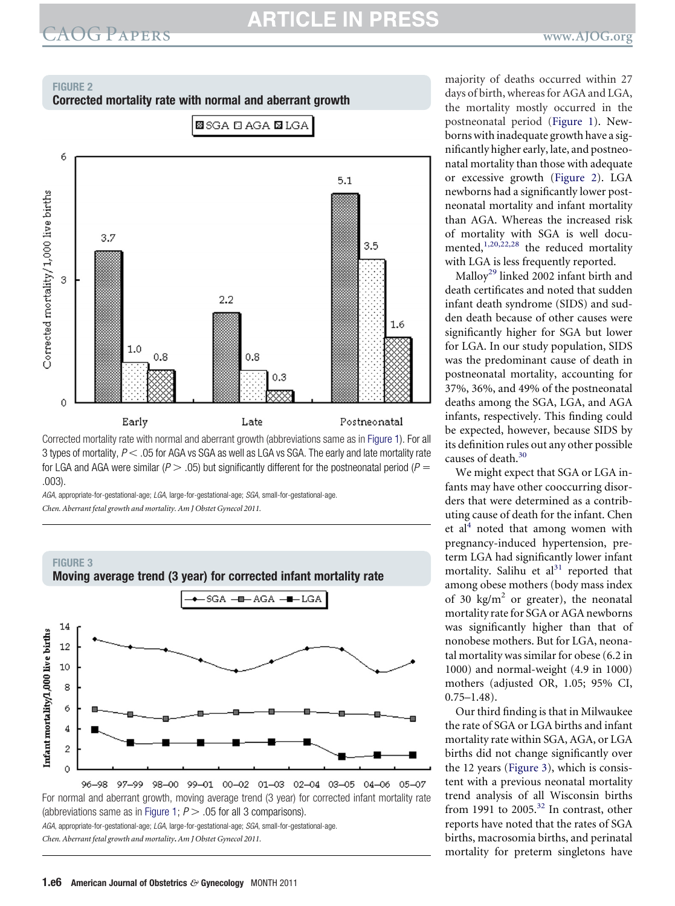# <span id="page-5-0"></span>EXOG PAPERS **ARTICLE IN PRESS**

### **FIGURE 2**





Corrected mortality rate with normal and aberrant growth (abbreviations same as in [Figure 1\)](#page-4-0). For all 3 types of mortality,  $P <$  .05 for AGA vs SGA as well as LGA vs SGA. The early and late mortality rate for LGA and AGA were similar ( $P > .05$ ) but significantly different for the postneonatal period ( $P =$ .003).

*AGA*, appropriate-for-gestational-age; *LGA*, large-for-gestational-age; *SGA*, small-for-gestational-age. *Chen. Aberrant fetal growth and mortality. Am J Obstet Gynecol 2011.*



*AGA*, appropriate-for-gestational-age; *LGA*, large-for-gestational-age; *SGA*, small-for-gestational-age. *Chen. Aberrant fetal growth and mortality***.** *Am J Obstet Gynecol 2011.*

majority of deaths occurred within 27 days of birth, whereas for AGA and LGA, the mortality mostly occurred in the postneonatal period [\(Figure 1\)](#page-4-0). Newborns with inadequate growth have a significantly higher early, late, and postneonatal mortality than those with adequate or excessive growth (Figure 2). LGA newborns had a significantly lower postneonatal mortality and infant mortality than AGA. Whereas the increased risk of mortality with SGA is well documented, $1,20,22,28$  the reduced mortality with LGA is less frequently reported.

Malloy<sup>[29](#page-9-0)</sup> linked 2002 infant birth and death certificates and noted that sudden infant death syndrome (SIDS) and sudden death because of other causes were significantly higher for SGA but lower for LGA. In our study population, SIDS was the predominant cause of death in postneonatal mortality, accounting for 37%, 36%, and 49% of the postneonatal deaths among the SGA, LGA, and AGA infants, respectively. This finding could be expected, however, because SIDS by its definition rules out any other possible causes of death.<sup>[30](#page-9-0)</sup>

We might expect that SGA or LGA infants may have other cooccurring disorders that were determined as a contributing cause of death for the infant. Chen et al<sup>4</sup> noted that among women with pregnancy-induced hypertension, preterm LGA had significantly lower infant mortality. Salihu et  $al<sup>31</sup>$  $al<sup>31</sup>$  $al<sup>31</sup>$  reported that among obese mothers (body mass index of 30 kg/ $m^2$  or greater), the neonatal mortality rate for SGA or AGA newborns was significantly higher than that of nonobese mothers. But for LGA, neonatal mortality was similar for obese (6.2 in 1000) and normal-weight (4.9 in 1000) mothers (adjusted OR, 1.05; 95% CI,  $0.75 - 1.48$ ).

Our third finding is that in Milwaukee the rate of SGA or LGA births and infant mortality rate within SGA, AGA, or LGA births did not change significantly over the 12 years (Figure 3), which is consistent with a previous neonatal mortality trend analysis of all Wisconsin births from 1991 to 2005.<sup>[32](#page-9-0)</sup> In contrast, other reports have noted that the rates of SGA births, macrosomia births, and perinatal mortality for preterm singletons have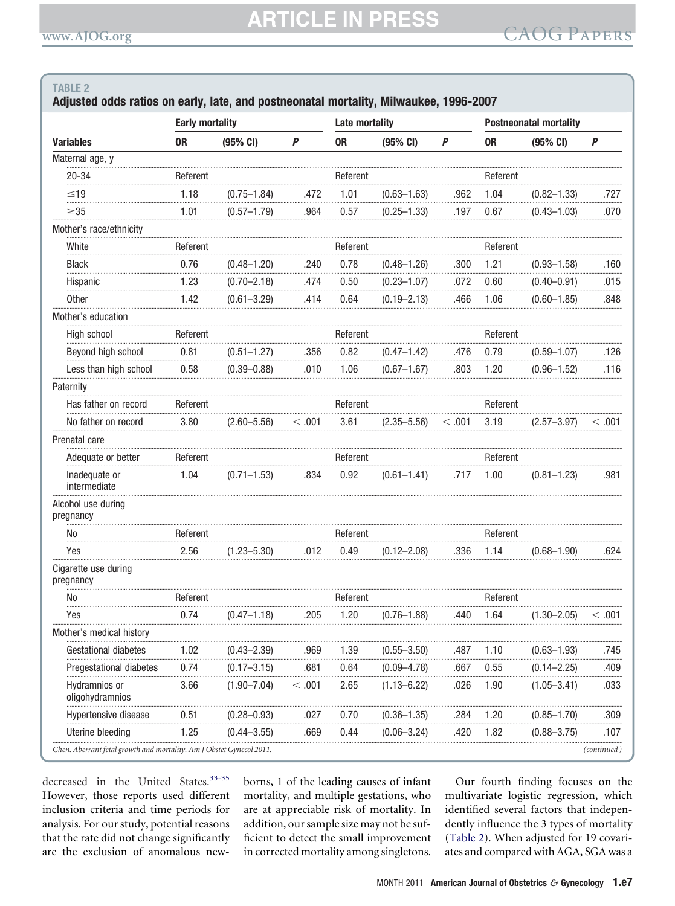### Adjusted odds ratios on early, late, and postneonatal mortality, Milwaukee, 1996-2007

|                                                                      | <b>Early mortality</b> |                 |          | <b>Late mortality</b> |                 |                  | <b>Postneonatal mortality</b> |                 |               |
|----------------------------------------------------------------------|------------------------|-----------------|----------|-----------------------|-----------------|------------------|-------------------------------|-----------------|---------------|
| <b>Variables</b>                                                     | <b>OR</b>              | (95% CI)        | P        | 0 <sub>R</sub>        | (95% CI)        | $\boldsymbol{P}$ | <b>OR</b>                     | (95% CI)        | P             |
| Maternal age, y                                                      |                        |                 |          |                       |                 |                  |                               |                 |               |
| $20 - 34$                                                            | Referent               |                 |          | Referent              |                 |                  | Referent                      |                 |               |
| $\leq 19$                                                            | 1.18                   | $(0.75 - 1.84)$ | .472     | 1.01                  | $(0.63 - 1.63)$ | .962             | 1.04                          | $(0.82 - 1.33)$ | .727          |
| $\geq$ 35                                                            | 1.01                   | $(0.57 - 1.79)$ | .964     | 0.57                  | $(0.25 - 1.33)$ | .197             | 0.67                          | $(0.43 - 1.03)$ | .070          |
| Mother's race/ethnicity                                              |                        |                 |          |                       |                 |                  |                               |                 |               |
| White                                                                | Referent               |                 |          | Referent              |                 |                  | Referent                      |                 |               |
| <b>Black</b>                                                         | 0.76                   | $(0.48 - 1.20)$ | .240     | 0.78                  | $(0.48 - 1.26)$ | .300             | 1.21                          | $(0.93 - 1.58)$ | .160          |
| Hispanic                                                             | 1.23                   | $(0.70 - 2.18)$ | .474     | 0.50                  | $(0.23 - 1.07)$ | .072             | 0.60                          | $(0.40 - 0.91)$ | .015          |
| Other                                                                | 1.42                   | $(0.61 - 3.29)$ | .414     | 0.64                  | $(0.19 - 2.13)$ | .466             | 1.06                          | $(0.60 - 1.85)$ | .848          |
| Mother's education                                                   |                        |                 |          |                       |                 |                  |                               |                 |               |
| High school                                                          | Referent               |                 |          | Referent              |                 |                  | Referent                      |                 |               |
| Beyond high school                                                   | 0.81                   | $(0.51 - 1.27)$ | .356     | 0.82                  | $(0.47 - 1.42)$ | .476             | 0.79                          | $(0.59 - 1.07)$ | .126          |
| Less than high school                                                | 0.58                   | $(0.39 - 0.88)$ | .010     | 1.06                  | $(0.67 - 1.67)$ | .803             | 1.20                          | $(0.96 - 1.52)$ | .116          |
| Paternity                                                            |                        |                 |          |                       |                 |                  |                               |                 |               |
| Has father on record                                                 | Referent               |                 |          | Referent              |                 |                  | Referent                      |                 |               |
| No father on record                                                  | 3.80                   | $(2.60 - 5.56)$ | $<$ .001 | 3.61                  | $(2.35 - 5.56)$ | $<$ .001         | 3.19                          | $(2.57 - 3.97)$ | $<$ .001 $\,$ |
| Prenatal care                                                        |                        |                 |          |                       |                 |                  |                               |                 |               |
| Adequate or better                                                   | Referent               |                 |          | Referent              |                 |                  | Referent                      |                 |               |
| Inadequate or<br>intermediate                                        | 1.04                   | $(0.71 - 1.53)$ | .834     | 0.92                  | $(0.61 - 1.41)$ | .717             | 1.00                          | $(0.81 - 1.23)$ | .981          |
| Alcohol use during<br>pregnancy                                      |                        |                 |          |                       |                 |                  |                               |                 |               |
| No                                                                   | Referent               |                 |          | Referent              |                 |                  | Referent                      |                 |               |
| Yes                                                                  | 2.56                   | $(1.23 - 5.30)$ | .012     | 0.49                  | $(0.12 - 2.08)$ | .336             | 1.14                          | $(0.68 - 1.90)$ | .624          |
| Cigarette use during<br>pregnancy                                    |                        |                 |          |                       |                 |                  |                               |                 |               |
| No                                                                   | Referent               |                 |          | Referent              |                 |                  | Referent                      |                 |               |
| Yes                                                                  | 0.74                   | $(0.47 - 1.18)$ | .205     | 1.20                  | $(0.76 - 1.88)$ | .440             | 1.64                          | $(1.30 - 2.05)$ | $<$ .001 $\,$ |
| Mother's medical history                                             |                        |                 |          |                       |                 |                  |                               |                 |               |
| Gestational diabetes                                                 | 1.02                   | $(0.43 - 2.39)$ | .969     | 1.39                  | $(0.55 - 3.50)$ | .487             | 1.10                          | $(0.63 - 1.93)$ | .745          |
| Pregestational diabetes                                              | 0.74                   | $(0.17 - 3.15)$ | .681     | 0.64                  | $(0.09 - 4.78)$ | .667             | 0.55                          | $(0.14 - 2.25)$ | .409          |
| Hydramnios or<br>oligohydramnios                                     | 3.66                   | $(1.90 - 7.04)$ | $<$ .001 | 2.65                  | $(1.13 - 6.22)$ | .026             | 1.90                          | $(1.05 - 3.41)$ | .033          |
| Hypertensive disease                                                 | 0.51                   | $(0.28 - 0.93)$ | .027     | 0.70                  | $(0.36 - 1.35)$ | .284             | 1.20                          | $(0.85 - 1.70)$ | .309          |
| Uterine bleeding                                                     | 1.25                   | $(0.44 - 3.55)$ | .669     | 0.44                  | $(0.06 - 3.24)$ | .420             | 1.82                          | $(0.88 - 3.75)$ | .107          |
| Chen. Aberrant fetal growth and mortality. Am J Obstet Gynecol 2011. |                        |                 |          |                       |                 |                  |                               |                 | (continued)   |

decreased in the United States.<sup>33-35</sup> However, those reports used different inclusion criteria and time periods for analysis. For our study, potential reasons that the rate did not change significantly are the exclusion of anomalous newborns, 1 of the leading causes of infant mortality, and multiple gestations, who are at appreciable risk of mortality. In addition, our sample size may not be sufficient to detect the small improvement in corrected mortality among singletons.

Our fourth finding focuses on the multivariate logistic regression, which identified several factors that independently influence the 3 types of mortality (Table 2). When adjusted for 19 covariates and compared with AGA, SGA was a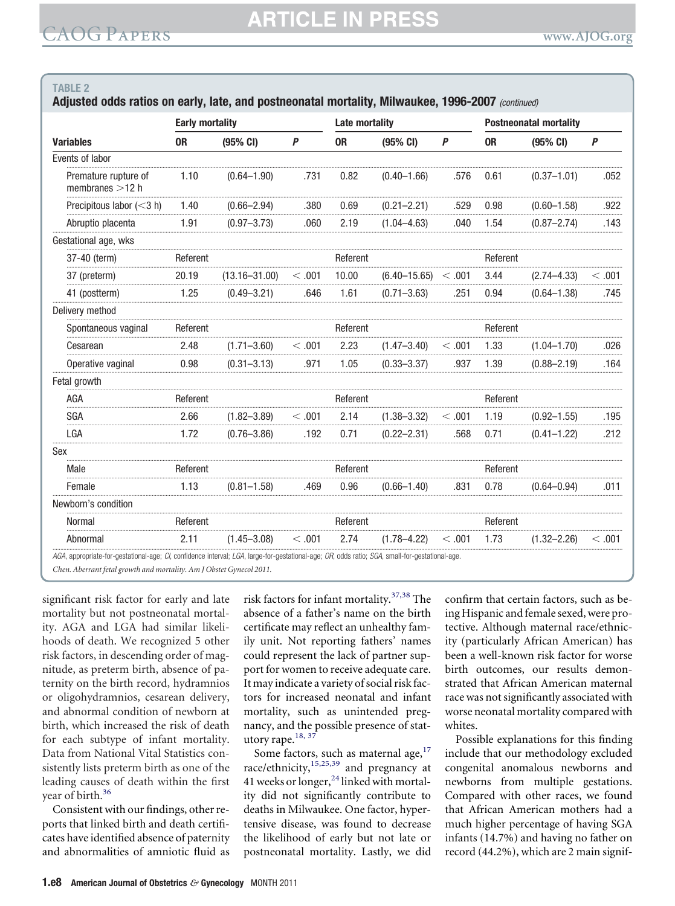| <b>Variables</b>                          | <b>Early mortality</b> |                    |         | <b>Late mortality</b> |                    |                  | <b>Postneonatal mortality</b> |                 |          |
|-------------------------------------------|------------------------|--------------------|---------|-----------------------|--------------------|------------------|-------------------------------|-----------------|----------|
|                                           | 0R                     | $(95% \text{ CI})$ | P       | 0 <sub>R</sub>        | $(95% \text{ CI})$ | $\boldsymbol{P}$ | 0 <sub>R</sub>                | (95% CI)        | P        |
| Events of labor                           |                        |                    |         |                       |                    |                  |                               |                 |          |
| Premature rupture of<br>membranes $>12$ h | 1.10                   | $(0.64 - 1.90)$    | .731    | 0.82                  | $(0.40 - 1.66)$    | .576             | 0.61                          | $(0.37 - 1.01)$ | .052     |
| Precipitous labor $(<$ 3 h)               | 1.40                   | $(0.66 - 2.94)$    | .380    | 0.69                  | $(0.21 - 2.21)$    | .529             | 0.98                          | $(0.60 - 1.58)$ | .922     |
| Abruptio placenta                         | 1.91                   | $(0.97 - 3.73)$    | .060    | 2.19                  | $(1.04 - 4.63)$    | .040             | 1.54                          | $(0.87 - 2.74)$ | .143     |
| Gestational age, wks                      |                        |                    |         |                       |                    |                  |                               |                 |          |
| 37-40 (term)                              | Referent               |                    |         | Referent              |                    |                  | Referent                      |                 |          |
| 37 (preterm)                              | 20.19                  | $(13.16 - 31.00)$  | < 0.001 | 10.00                 | $(6.40 - 15.65)$   | < 0.001          | 3.44                          | $(2.74 - 4.33)$ | < 0.01   |
| 41 (postterm)                             | 1.25                   | $(0.49 - 3.21)$    | .646    | 1.61                  | $(0.71 - 3.63)$    | .251             | 0.94                          | $(0.64 - 1.38)$ | .745     |
| Delivery method                           |                        |                    |         |                       |                    |                  |                               |                 |          |
| Spontaneous vaginal                       | Referent               |                    |         | Referent              |                    |                  | Referent                      |                 |          |
| Cesarean                                  | 2.48                   | $(1.71 - 3.60)$    | < .001  | 2.23                  | $(1.47 - 3.40)$    | < .001           | 1.33                          | $(1.04 - 1.70)$ | .026     |
| Operative vaginal                         | 0.98                   | $(0.31 - 3.13)$    | .971    | 1.05                  | $(0.33 - 3.37)$    | .937             | 1.39                          | $(0.88 - 2.19)$ | .164     |
| Fetal growth                              |                        |                    |         |                       |                    |                  |                               |                 |          |
| AGA                                       | Referent               |                    |         | Referent              |                    |                  | Referent                      |                 |          |
| <b>SGA</b>                                | 2.66                   | $(1.82 - 3.89)$    | < 0.01  | 2.14                  | $(1.38 - 3.32)$    | < 0.001          | 1.19                          | $(0.92 - 1.55)$ | .195     |
| LGA                                       | 1.72                   | $(0.76 - 3.86)$    | .192    | 0.71                  | $(0.22 - 2.31)$    | .568             | 0.71                          | $(0.41 - 1.22)$ | .212     |
| Sex                                       |                        |                    |         |                       |                    |                  |                               |                 |          |
| Male                                      | Referent               |                    |         | Referent              |                    |                  | Referent                      |                 |          |
| Female                                    | 1.13                   | $(0.81 - 1.58)$    | .469    | 0.96                  | $(0.66 - 1.40)$    | .831             | 0.78                          | $(0.64 - 0.94)$ | .011     |
| Newborn's condition                       |                        |                    |         |                       |                    |                  |                               |                 |          |
| <b>Normal</b>                             | Referent               |                    |         | Referent              |                    |                  | Referent                      |                 |          |
| Abnormal                                  | 2.11                   | $(1.45 - 3.08)$    | < .001  | 2.74                  | $(1.78 - 4.22)$    | < .001           | 1.73                          | $(1.32 - 2.26)$ | $<$ .001 |

Chen. Aberrant fetal growth and mortality. Am J Obstet Gynecol 2011.

significant risk factor for early and late mortality but not postneonatal mortality. AGA and LGA had similar likelihoods of death. We recognized 5 other risk factors, in descending order of magnitude, as preterm birth, absence of paternity on the birth record, hydramnios or oligohydramnios, cesarean delivery, and abnormal condition of newborn at birth, which increased the risk of death for each subtype of infant mortality. Data from National Vital Statistics consistently lists preterm birth as one of the leading causes of death within the first year of birth.<sup>36</sup>

Consistent with our findings, other reports that linked birth and death certificates have identified absence of paternity and abnormalities of amniotic fluid as

risk factors for infant mortality.<sup>37,38</sup> The absence of a father's name on the birth certificate may reflect an unhealthy family unit. Not reporting fathers' names could represent the lack of partner support for women to receive adequate care. It may indicate a variety of social risk factors for increased neonatal and infant mortality, such as unintended pregnancy, and the possible presence of statutory rape.<sup>18, 37</sup>

Some factors, such as maternal age,<sup>17</sup><br>race/ethnicity,<sup>15,25,39</sup> and pregnancy at 41 weeks or longer,<sup>24</sup> linked with mortality did not significantly contribute to deaths in Milwaukee. One factor, hypertensive disease, was found to decrease the likelihood of early but not late or postneonatal mortality. Lastly, we did

confirm that certain factors, such as being Hispanic and female sexed, were protective. Although maternal race/ethnicity (particularly African American) has been a well-known risk factor for worse birth outcomes, our results demonstrated that African American maternal race was not significantly associated with worse neonatal mortality compared with whites.

Possible explanations for this finding include that our methodology excluded congenital anomalous newborns and newborns from multiple gestations. Compared with other races, we found that African American mothers had a much higher percentage of having SGA infants (14.7%) and having no father on record (44.2%), which are 2 main signif-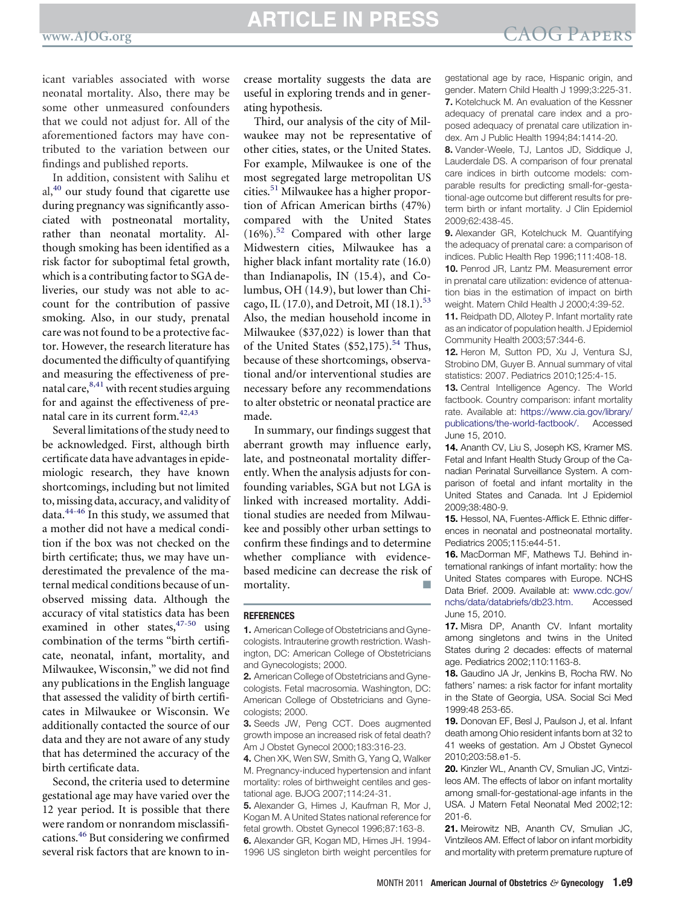## <span id="page-8-0"></span>**EXAMPLE IN PRESS CAOG PAPERS**

icant variables associated with worse neonatal mortality. Also, there may be some other unmeasured confounders that we could not adjust for. All of the aforementioned factors may have contributed to the variation between our findings and published reports.

In addition, consistent with Salihu et  $al<sub>1</sub><sup>40</sup>$  $al<sub>1</sub><sup>40</sup>$  $al<sub>1</sub><sup>40</sup>$  our study found that cigarette use during pregnancy was significantly associated with postneonatal mortality, rather than neonatal mortality. Although smoking has been identified as a risk factor for suboptimal fetal growth, which is a contributing factor to SGA deliveries, our study was not able to account for the contribution of passive smoking. Also, in our study, prenatal care was not found to be a protective factor. However, the research literature has documented the difficulty of quantifying and measuring the effectiveness of prenatal care,  $8,41$  with recent studies arguing for and against the effectiveness of prenatal care in its current form.[42,43](#page-9-0)

Several limitations of the study need to be acknowledged. First, although birth certificate data have advantages in epidemiologic research, they have known shortcomings, including but not limited to, missing data, accuracy, and validity of data.[44-46](#page-9-0) In this study, we assumed that a mother did not have a medical condition if the box was not checked on the birth certificate; thus, we may have underestimated the prevalence of the maternal medical conditions because of unobserved missing data. Although the accuracy of vital statistics data has been examined in other states,  $47-50$  using combination of the terms "birth certificate, neonatal, infant, mortality, and Milwaukee, Wisconsin," we did not find any publications in the English language that assessed the validity of birth certificates in Milwaukee or Wisconsin. We additionally contacted the source of our data and they are not aware of any study that has determined the accuracy of the birth certificate data.

Second, the criteria used to determine gestational age may have varied over the 12 year period. It is possible that there were random or nonrandom misclassifications.[46](#page-9-0) But considering we confirmed several risk factors that are known to increase mortality suggests the data are useful in exploring trends and in generating hypothesis.

Third, our analysis of the city of Milwaukee may not be representative of other cities, states, or the United States. For example, Milwaukee is one of the most segregated large metropolitan US cities.[51](#page-9-0) Milwaukee has a higher proportion of African American births (47%) compared with the United States  $(16\%)$ <sup>[52](#page-9-0)</sup> Compared with other large Midwestern cities, Milwaukee has a higher black infant mortality rate (16.0) than Indianapolis, IN (15.4), and Columbus, OH (14.9), but lower than Chi-cago, IL (17.0), and Detroit, MI (18.1).<sup>[53](#page-9-0)</sup> Also, the median household income in Milwaukee (\$37,022) is lower than that of the United States  $(\$52,175).^{54}$  $(\$52,175).^{54}$  $(\$52,175).^{54}$  Thus, because of these shortcomings, observational and/or interventional studies are necessary before any recommendations to alter obstetric or neonatal practice are made.

In summary, our findings suggest that aberrant growth may influence early, late, and postneonatal mortality differently. When the analysis adjusts for confounding variables, SGA but not LGA is linked with increased mortality. Additional studies are needed from Milwaukee and possibly other urban settings to confirm these findings and to determine whether compliance with evidencebased medicine can decrease the risk of mortality.

#### **REFERENCES**

**1.** American College of Obstetricians and Gynecologists. Intrauterine growth restriction. Washington, DC: American College of Obstetricians and Gynecologists; 2000.

**2.** American College of Obstetricians and Gynecologists. Fetal macrosomia. Washington, DC: American College of Obstetricians and Gynecologists; 2000.

**3.** Seeds JW, Peng CCT. Does augmented growth impose an increased risk of fetal death? Am J Obstet Gynecol 2000;183:316-23.

**4.** Chen XK, Wen SW, Smith G, Yang Q, Walker M. Pregnancy-induced hypertension and infant mortality: roles of birthweight centiles and gestational age. BJOG 2007;114:24-31.

**5.** Alexander G, Himes J, Kaufman R, Mor J, Kogan M. A United States national reference for fetal growth. Obstet Gynecol 1996;87:163-8. **6.** Alexander GR, Kogan MD, Himes JH. 1994- 1996 US singleton birth weight percentiles for

gestational age by race, Hispanic origin, and gender. Matern Child Health J 1999;3:225-31. **7.** Kotelchuck M. An evaluation of the Kessner adequacy of prenatal care index and a proposed adequacy of prenatal care utilization index. Am J Public Health 1994;84:1414-20.

**8.** Vander-Weele, TJ, Lantos JD, Siddique J, Lauderdale DS. A comparison of four prenatal care indices in birth outcome models: comparable results for predicting small-for-gestational-age outcome but different results for preterm birth or infant mortality. J Clin Epidemiol 2009;62:438-45.

**9.** Alexander GR, Kotelchuck M. Quantifying the adequacy of prenatal care: a comparison of indices. Public Health Rep 1996;111:408-18.

**10.** Penrod JR, Lantz PM. Measurement error in prenatal care utilization: evidence of attenuation bias in the estimation of impact on birth weight. Matern Child Health J 2000;4:39-52.

**11.** Reidpath DD, Allotey P. Infant mortality rate as an indicator of population health. J Epidemiol Community Health 2003;57:344-6.

**12.** Heron M, Sutton PD, Xu J, Ventura SJ, Strobino DM, Guyer B. Annual summary of vital statistics: 2007. Pediatrics 2010;125:4-15.

13. Central Intelligence Agency. The World factbook. Country comparison: infant mortality rate. Available at: [https://www.cia.gov/library/](https://www.cia.gov/library/publications/the-world-factbook/) [publications/the-world-factbook/.](https://www.cia.gov/library/publications/the-world-factbook/) Accessed June 15, 2010.

**14.** Ananth CV, Liu S, Joseph KS, Kramer MS. Fetal and Infant Health Study Group of the Canadian Perinatal Surveillance System. A comparison of foetal and infant mortality in the United States and Canada. Int J Epidemiol 2009;38:480-9.

**15.** Hessol, NA, Fuentes-Afflick E. Ethnic differences in neonatal and postneonatal mortality. Pediatrics 2005;115:e44-51.

**16.** MacDorman MF, Mathews TJ. Behind international rankings of infant mortality: how the United States compares with Europe. NCHS Data Brief. 2009. Available at: [www.cdc.gov/](http://www.cdc.gov/nchs/data/databriefs/db23.htm) [nchs/data/databriefs/db23.htm.](http://www.cdc.gov/nchs/data/databriefs/db23.htm) Accessed June 15, 2010.

**17.** Misra DP, Ananth CV. Infant mortality among singletons and twins in the United States during 2 decades: effects of maternal age. Pediatrics 2002;110:1163-8.

**18.** Gaudino JA Jr, Jenkins B, Rocha RW. No fathers' names: a risk factor for infant mortality in the State of Georgia, USA. Social Sci Med 1999:48 253-65.

**19.** Donovan EF, Besl J, Paulson J, et al. Infant death among Ohio resident infants born at 32 to 41 weeks of gestation. Am J Obstet Gynecol 2010;203:58.e1-5.

**20.** Kinzler WL, Ananth CV, Smulian JC, Vintzileos AM. The effects of labor on infant mortality among small-for-gestational-age infants in the USA. J Matern Fetal Neonatal Med 2002;12: 201-6.

**21.** Meirowitz NB, Ananth CV, Smulian JC, Vintzileos AM. Effect of labor on infant morbidity and mortality with preterm premature rupture of